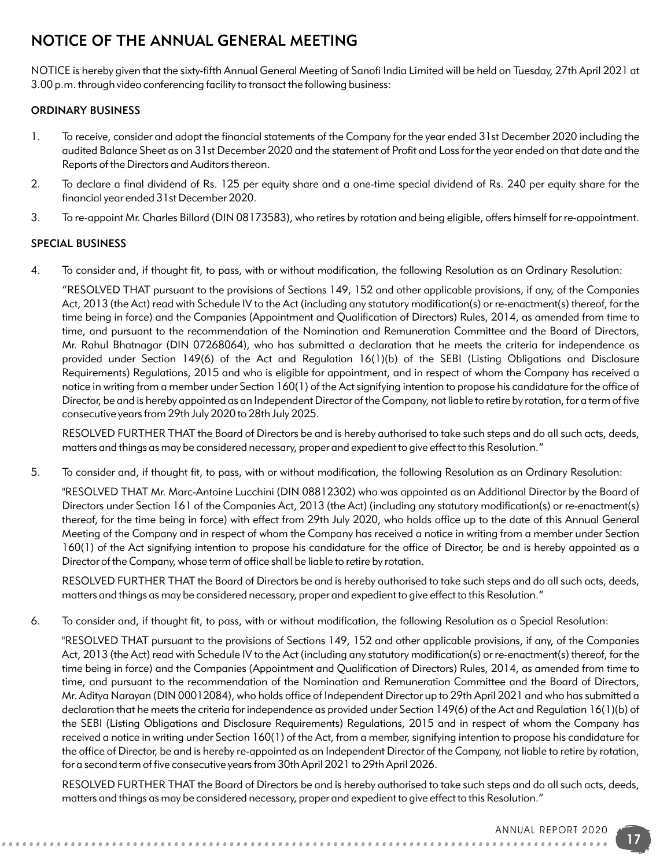# NOTICE OF THE ANNUAL GENERAL MEETING

NOTICE is hereby given that the sixty-fifth Annual General Meeting of Sanofi India Limited will be held on Tuesday, 27th April 2021 at 3.00 p.m. through video conferencing facility to transact the following business:

### ORDINARY BUSINESS

- 1. To receive, consider and adopt the financial statements of the Company for the year ended 31st December 2020 including the audited Balance Sheet as on 31st December 2020 and the statement of Profit and Loss for the year ended on that date and the Reports of the Directors and Auditors thereon.
- 2. To declare a final dividend of Rs. 125 per equity share and a one-time special dividend of Rs. 240 per equity share for the financial year ended 31st December 2020.
- 3. To re-appoint Mr. Charles Billard (DIN 08173583), who retires by rotation and being eligible, offers himself for re-appointment.

## SPECIAL BUSINESS

4. To consider and, if thought fit, to pass, with or without modification, the following Resolution as an Ordinary Resolution:

"RESOLVED THAT pursuant to the provisions of Sections 149, 152 and other applicable provisions, if any, of the Companies Act, 2013 (the Act) read with Schedule IV to the Act (including any statutory modification(s) or re-enactment(s) thereof, for the time being in force) and the Companies (Appointment and Qualification of Directors) Rules, 2014, as amended from time to time, and pursuant to the recommendation of the Nomination and Remuneration Committee and the Board of Directors, Mr. Rahul Bhatnagar (DIN 07268064), who has submitted a declaration that he meets the criteria for independence as provided under Section 149(6) of the Act and Regulation 16(1)(b) of the SEBI (Listing Obligations and Disclosure Requirements) Regulations, 2015 and who is eligible for appointment, and in respect of whom the Company has received a notice in writing from a member under Section 160(1) of the Act signifying intention to propose his candidature for the office of Director, be and is hereby appointed as an Independent Director of the Company, not liable to retire by rotation, for a term of five consecutive years from 29th July 2020 to 28th July 2025.

RESOLVED FURTHER THAT the Board of Directors be and is hereby authorised to take such steps and do all such acts, deeds, matters and things as may be considered necessary, proper and expedient to give effect to this Resolution."

5. To consider and, if thought fit, to pass, with or without modification, the following Resolution as an Ordinary Resolution:

"RESOLVED THAT Mr. Marc-Antoine Lucchini (DIN 08812302) who was appointed as an Additional Director by the Board of Directors under Section 161 of the Companies Act, 2013 (the Act) (including any statutory modification(s) or re-enactment(s) thereof, for the time being in force) with effect from 29th July 2020, who holds office up to the date of this Annual General Meeting of the Company and in respect of whom the Company has received a notice in writing from a member under Section 160(1) of the Act signifying intention to propose his candidature for the office of Director, be and is hereby appointed as a Director of the Company, whose term of office shall be liable to retire by rotation.

RESOLVED FURTHER THAT the Board of Directors be and is hereby authorised to take such steps and do all such acts, deeds, matters and things as may be considered necessary, proper and expedient to give effect to this Resolution."

6. To consider and, if thought fit, to pass, with or without modification, the following Resolution as a Special Resolution:

"RESOLVED THAT pursuant to the provisions of Sections 149, 152 and other applicable provisions, if any, of the Companies Act, 2013 (the Act) read with Schedule IV to the Act (including any statutory modification(s) or re-enactment(s) thereof, for the time being in force) and the Companies (Appointment and Qualification of Directors) Rules, 2014, as amended from time to time, and pursuant to the recommendation of the Nomination and Remuneration Committee and the Board of Directors, Mr. Aditya Narayan (DIN 00012084), who holds office of Independent Director up to 29th April 2021 and who has submitted a declaration that he meets the criteria for independence as provided under Section 149(6) of the Act and Regulation 16(1)(b) of the SEBI (Listing Obligations and Disclosure Requirements) Regulations, 2015 and in respect of whom the Company has received a notice in writing under Section 160(1) of the Act, from a member, signifying intention to propose his candidature for the office of Director, be and is hereby re-appointed as an Independent Director of the Company, not liable to retire by rotation, for a second term of five consecutive years from 30th April 2021 to 29th April 2026.

RESOLVED FURTHER THAT the Board of Directors be and is hereby authorised to take such steps and do all such acts, deeds, matters and things as may be considered necessary, proper and expedient to give effect to this Resolution."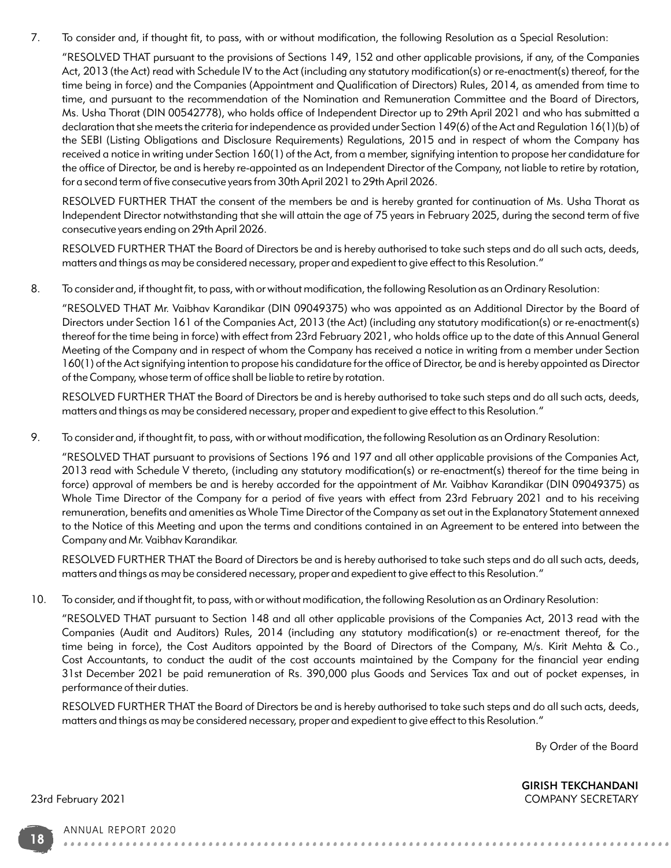7. To consider and, if thought fit, to pass, with or without modification, the following Resolution as a Special Resolution:

"RESOLVED THAT pursuant to the provisions of Sections 149, 152 and other applicable provisions, if any, of the Companies Act, 2013 (the Act) read with Schedule IV to the Act (including any statutory modification(s) or re-enactment(s) thereof, for the time being in force) and the Companies (Appointment and Qualification of Directors) Rules, 2014, as amended from time to time, and pursuant to the recommendation of the Nomination and Remuneration Committee and the Board of Directors, Ms. Usha Thorat (DIN 00542778), who holds office of Independent Director up to 29th April 2021 and who has submitted a declaration that she meets the criteria for independence as provided under Section 149(6) of the Act and Regulation 16(1)(b) of the SEBI (Listing Obligations and Disclosure Requirements) Regulations, 2015 and in respect of whom the Company has received a notice in writing under Section 160(1) of the Act, from a member, signifying intention to propose her candidature for the office of Director, be and is hereby re-appointed as an Independent Director of the Company, not liable to retire by rotation, for a second term of five consecutive years from 30th April 2021 to 29th April 2026.

RESOLVED FURTHER THAT the consent of the members be and is hereby granted for continuation of Ms. Usha Thorat as Independent Director notwithstanding that she will attain the age of 75 years in February 2025, during the second term of five consecutive years ending on 29th April 2026.

RESOLVED FURTHER THAT the Board of Directors be and is hereby authorised to take such steps and do all such acts, deeds, matters and things as may be considered necessary, proper and expedient to give effect to this Resolution."

8. To consider and, if thought fit, to pass, with or without modification, the following Resolution as an Ordinary Resolution:

"RESOLVED THAT Mr. Vaibhav Karandikar (DIN 09049375) who was appointed as an Additional Director by the Board of Directors under Section 161 of the Companies Act, 2013 (the Act) (including any statutory modification(s) or re-enactment(s) thereof for the time being in force) with effect from 23rd February 2021, who holds office up to the date of this Annual General Meeting of the Company and in respect of whom the Company has received a notice in writing from a member under Section 160(1) of the Act signifying intention to propose his candidature for the office of Director, be and is hereby appointed as Director of the Company, whose term of office shall be liable to retire by rotation.

RESOLVED FURTHER THAT the Board of Directors be and is hereby authorised to take such steps and do all such acts, deeds, matters and things as may be considered necessary, proper and expedient to give effect to this Resolution."

9. To consider and, if thought fit, to pass, with or without modification, the following Resolution as an Ordinary Resolution:

"RESOLVED THAT pursuant to provisions of Sections 196 and 197 and all other applicable provisions of the Companies Act, 2013 read with Schedule V thereto, (including any statutory modification(s) or re-enactment(s) thereof for the time being in force) approval of members be and is hereby accorded for the appointment of Mr. Vaibhav Karandikar (DIN 09049375) as Whole Time Director of the Company for a period of five years with effect from 23rd February 2021 and to his receiving remuneration, benefits and amenities as Whole Time Director of the Company as set out in the Explanatory Statement annexed to the Notice of this Meeting and upon the terms and conditions contained in an Agreement to be entered into between the Company and Mr. Vaibhav Karandikar.

RESOLVED FURTHER THAT the Board of Directors be and is hereby authorised to take such steps and do all such acts, deeds, matters and things as may be considered necessary, proper and expedient to give effect to this Resolution."

10. To consider, and if thought fit, to pass, with or without modification, the following Resolution as an Ordinary Resolution:

"RESOLVED THAT pursuant to Section 148 and all other applicable provisions of the Companies Act, 2013 read with the Companies (Audit and Auditors) Rules, 2014 (including any statutory modification(s) or re-enactment thereof, for the time being in force), the Cost Auditors appointed by the Board of Directors of the Company, M/s. Kirit Mehta & Co., Cost Accountants, to conduct the audit of the cost accounts maintained by the Company for the financial year ending 31st December 2021 be paid remuneration of Rs. 390,000 plus Goods and Services Tax and out of pocket expenses, in performance of their duties.

RESOLVED FURTHER THAT the Board of Directors be and is hereby authorised to take such steps and do all such acts, deeds, matters and things as may be considered necessary, proper and expedient to give effect to this Resolution."

. . . . . . . . . .

By Order of the Board

GIRISH TEKCHANDANI 23rd February 2021 COMPANY SECRETARY

ANNUAL REPORT 2020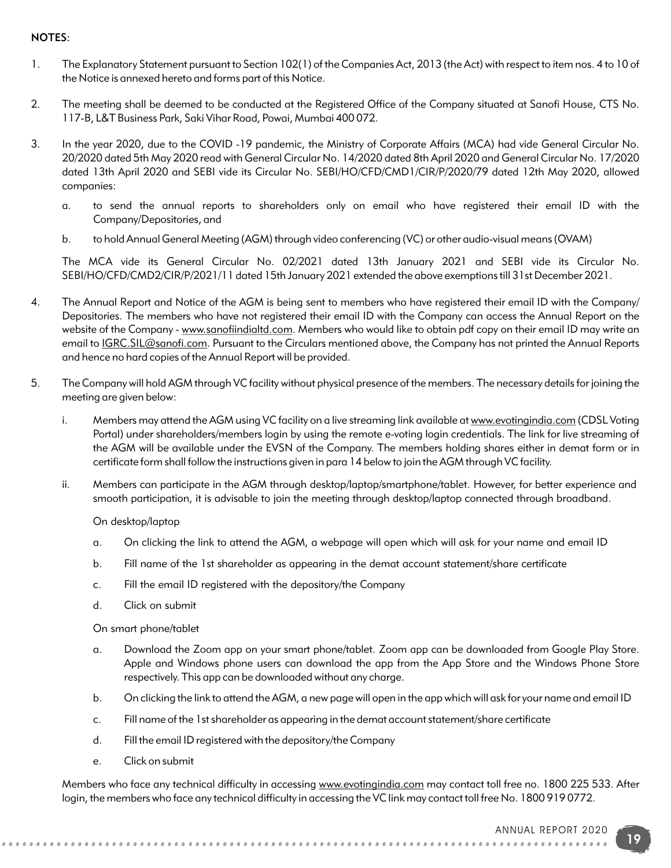### NOTES:

- 1. The Explanatory Statement pursuant to Section 102(1) of the Companies Act, 2013 (the Act) with respect to item nos. 4 to 10 of the Notice is annexed hereto and forms part of this Notice.
- 2. The meeting shall be deemed to be conducted at the Registered Office of the Company situated at Sanofi House, CTS No. 117-B, L&T Business Park, Saki Vihar Road, Powai, Mumbai 400 072.
- 3. In the year 2020, due to the COVID -19 pandemic, the Ministry of Corporate Affairs (MCA) had vide General Circular No. 20/2020 dated 5th May 2020 read with General Circular No. 14/2020 dated 8th April 2020 and General Circular No. 17/2020 dated 13th April 2020 and SEBI vide its Circular No. SEBI/HO/CFD/CMD1/CIR/P/2020/79 dated 12th May 2020, allowed companies:
	- a. to send the annual reports to shareholders only on email who have registered their email ID with the Company/Depositories, and
	- b. to hold Annual General Meeting (AGM) through video conferencing (VC) or other audio-visual means (OVAM)

The MCA vide its General Circular No. 02/2021 dated 13th January 2021 and SEBI vide its Circular No. SEBI/HO/CFD/CMD2/CIR/P/2021/11 dated 15th January 2021 extended the above exemptions till 31st December 2021.

- 4. The Annual Report and Notice of the AGM is being sent to members who have registered their email ID with the Company/ Depositories. The members who have not registered their email ID with the Company can access the Annual Report on the website of the Company - www.sanofiindialtd.com. Members who would like to obtain pdf copy on their email ID may write an email to *IGRC.SIL@sanofi.com*. Pursuant to the Circulars mentioned above, the Company has not printed the Annual Reports and hence no hard copies of the Annual Report will be provided.
- 5. The Company will hold AGM through VC facility without physical presence of the members. The necessary details for joining the meeting are given below:
	- i. Members may attend the AGM using VC facility on a live streaming link available at www.evotingindia.com (CDSL Voting Portal) under shareholders/members login by using the remote e-voting login credentials. The link for live streaming of the AGM will be available under the EVSN of the Company. The members holding shares either in demat form or in certificate form shall follow the instructions given in para 14 below to join the AGM through VC facility.
	- ii. Members can participate in the AGM through desktop/laptop/smartphone/tablet. However, for better experience and smooth participation, it is advisable to join the meeting through desktop/laptop connected through broadband.

On desktop/laptop

- a. On clicking the link to attend the AGM, a webpage will open which will ask for your name and email ID
- b. Fill name of the 1st shareholder as appearing in the demat account statement/share certificate
- c. Fill the email ID registered with the depository/the Company
- d. Click on submit

On smart phone/tablet

- a. Download the Zoom app on your smart phone/tablet. Zoom app can be downloaded from Google Play Store. Apple and Windows phone users can download the app from the App Store and the Windows Phone Store respectively. This app can be downloaded without any charge.
- b. On clicking the link to attend the AGM, a new page will open in the app which will ask for your name and email ID
- c. Fill name of the 1st shareholder as appearing in the demat account statement/share certificate
- d. Fill the email ID registered with the depository/the Company

e. Click on submit

Members who face any technical difficulty in accessing www.evotingindia.com may contact toll free no. 1800 225 533. After login, the members who face any technical difficulty in accessing the VC link may contact toll free No. 1800 919 0772.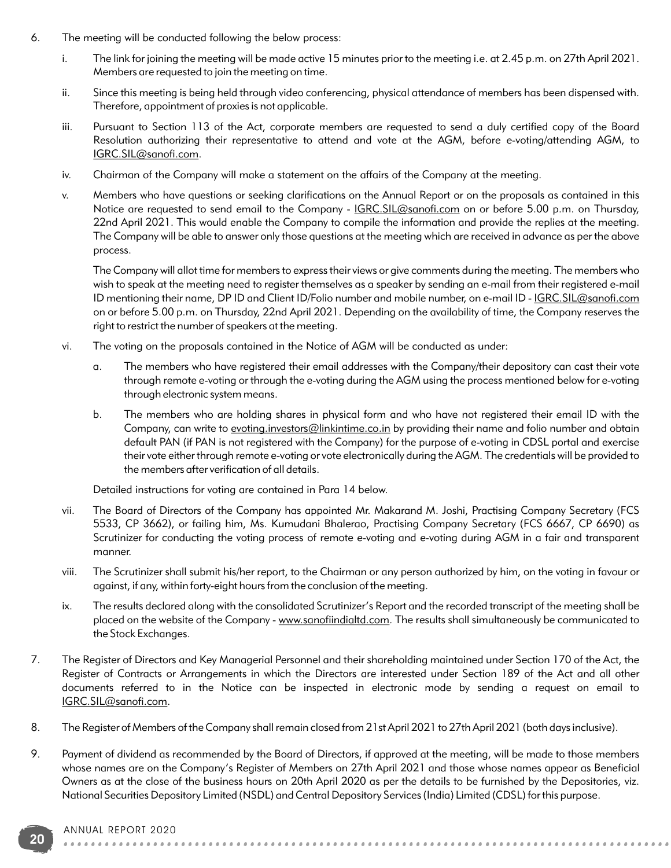- 6. The meeting will be conducted following the below process:
	- i. The link for joining the meeting will be made active 15 minutes prior to the meeting i.e. at 2.45 p.m. on 27th April 2021. Members are requested to join the meeting on time.
	- ii. Since this meeting is being held through video conferencing, physical attendance of members has been dispensed with. Therefore, appointment of proxies is not applicable.
	- iii. Pursuant to Section 113 of the Act, corporate members are requested to send a duly certified copy of the Board Resolution authorizing their representative to attend and vote at the AGM, before e-voting/attending AGM, to IGRC.SIL@sanofi.com.
	- iv. Chairman of the Company will make a statement on the affairs of the Company at the meeting.
	- v. Members who have questions or seeking clarifications on the Annual Report or on the proposals as contained in this Notice are requested to send email to the Company - IGRC.SIL@sanofi.com on or before 5.00 p.m. on Thursday, 22nd April 2021. This would enable the Company to compile the information and provide the replies at the meeting. The Company will be able to answer only those questions at the meeting which are received in advance as per the above process.

The Company will allot time for members to express their views or give comments during the meeting. The members who wish to speak at the meeting need to register themselves as a speaker by sending an e-mail from their registered e-mail ID mentioning their name, DP ID and Client ID/Folio number and mobile number, on e-mail ID - IGRC.SIL@sanofi.com on or before 5.00 p.m. on Thursday, 22nd April 2021. Depending on the availability of time, the Company reserves the right to restrict the number of speakers at the meeting.

- vi. The voting on the proposals contained in the Notice of AGM will be conducted as under:
	- a. The members who have registered their email addresses with the Company/their depository can cast their vote through remote e-voting or through the e-voting during the AGM using the process mentioned below for e-voting through electronic system means.
	- b. The members who are holding shares in physical form and who have not registered their email ID with the Company, can write to evoting.investors@linkintime.co.in by providing their name and folio number and obtain default PAN (if PAN is not registered with the Company) for the purpose of e-voting in CDSL portal and exercise their vote either through remote e-voting or vote electronically during the AGM. The credentials will be provided to the members after verification of all details.

Detailed instructions for voting are contained in Para 14 below.

- vii. The Board of Directors of the Company has appointed Mr. Makarand M. Joshi, Practising Company Secretary (FCS 5533, CP 3662), or failing him, Ms. Kumudani Bhalerao, Practising Company Secretary (FCS 6667, CP 6690) as Scrutinizer for conducting the voting process of remote e-voting and e-voting during AGM in a fair and transparent manner.
- viii. The Scrutinizer shall submit his/her report, to the Chairman or any person authorized by him, on the voting in favour or against, if any, within forty-eight hours from the conclusion of the meeting.
- ix. The results declared along with the consolidated Scrutinizer's Report and the recorded transcript of the meeting shall be placed on the website of the Company - www.sanofiindialtd.com. The results shall simultaneously be communicated to the Stock Exchanges.
- 7. The Register of Directors and Key Managerial Personnel and their shareholding maintained under Section 170 of the Act, the Register of Contracts or Arrangements in which the Directors are interested under Section 189 of the Act and all other documents referred to in the Notice can be inspected in electronic mode by sending a request on email to IGRC.SIL@sanofi.com.
- 8. The Register of Members of the Company shall remain closed from 21st April 2021 to 27th April 2021 (both days inclusive).
- 9. Payment of dividend as recommended by the Board of Directors, if approved at the meeting, will be made to those members whose names are on the Company's Register of Members on 27th April 2021 and those whose names appear as Beneficial Owners as at the close of the business hours on 20th April 2020 as per the details to be furnished by the Depositories, viz. National Securities Depository Limited (NSDL) and Central Depository Services (India) Limited (CDSL) for this purpose.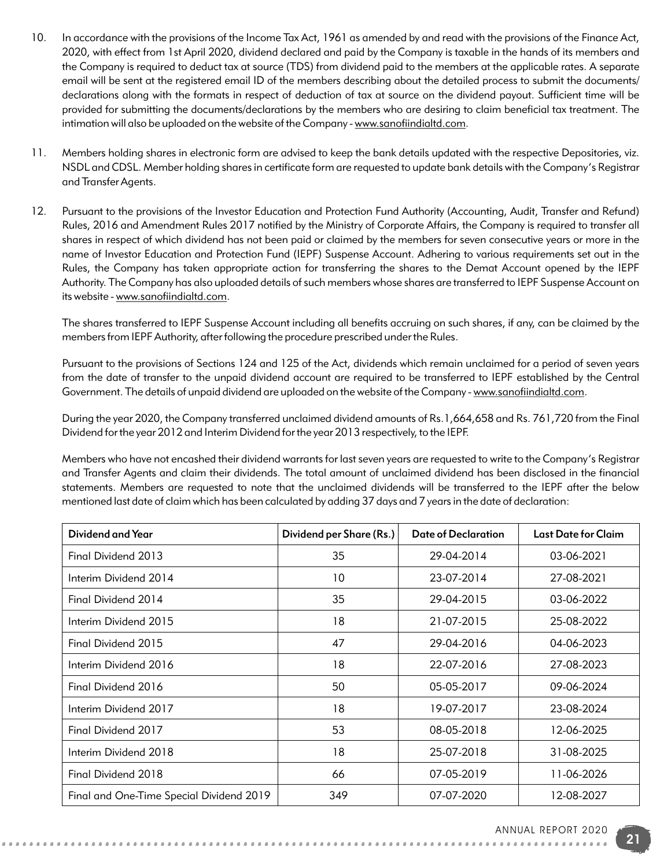- 10. In accordance with the provisions of the Income Tax Act, 1961 as amended by and read with the provisions of the Finance Act, 2020, with effect from 1st April 2020, dividend declared and paid by the Company is taxable in the hands of its members and the Company is required to deduct tax at source (TDS) from dividend paid to the members at the applicable rates. A separate email will be sent at the registered email ID of the members describing about the detailed process to submit the documents/ declarations along with the formats in respect of deduction of tax at source on the dividend payout. Sufficient time will be provided for submitting the documents/declarations by the members who are desiring to claim beneficial tax treatment. The intimation will also be uploaded on the website of the Company - www.sanofiindialtd.com.
- 11. Members holding shares in electronic form are advised to keep the bank details updated with the respective Depositories, viz. NSDL and CDSL. Member holding shares in certificate form are requested to update bank details with the Company's Registrar and Transfer Agents.
- 12. Pursuant to the provisions of the Investor Education and Protection Fund Authority (Accounting, Audit, Transfer and Refund) Rules, 2016 and Amendment Rules 2017 notified by the Ministry of Corporate Affairs, the Company is required to transfer all shares in respect of which dividend has not been paid or claimed by the members for seven consecutive years or more in the name of Investor Education and Protection Fund (IEPF) Suspense Account. Adhering to various requirements set out in the Rules, the Company has taken appropriate action for transferring the shares to the Demat Account opened by the IEPF Authority. The Company has also uploaded details of such members whose shares are transferred to IEPF Suspense Account on its website - www.sanofiindialtd.com.

The shares transferred to IEPF Suspense Account including all benefits accruing on such shares, if any, can be claimed by the members from IEPF Authority, after following the procedure prescribed under the Rules.

Pursuant to the provisions of Sections 124 and 125 of the Act, dividends which remain unclaimed for a period of seven years from the date of transfer to the unpaid dividend account are required to be transferred to IEPF established by the Central Government. The details of unpaid dividend are uploaded on the website of the Company - www.sanofiindialtd.com.

During the year 2020, the Company transferred unclaimed dividend amounts of Rs.1,664,658 and Rs. 761,720 from the Final Dividend for the year 2012 and Interim Dividend for the year 2013 respectively, to the IEPF.

Members who have not encashed their dividend warrants for last seven years are requested to write to the Company's Registrar and Transfer Agents and claim their dividends. The total amount of unclaimed dividend has been disclosed in the financial statements. Members are requested to note that the unclaimed dividends will be transferred to the IEPF after the below mentioned last date of claim which has been calculated by adding 37 days and 7 years in the date of declaration:

| Dividend and Year                        | Dividend per Share (Rs.) | <b>Date of Declaration</b> | Last Date for Claim |
|------------------------------------------|--------------------------|----------------------------|---------------------|
| Final Dividend 2013                      | 35                       | 29-04-2014                 | 03-06-2021          |
| Interim Dividend 2014                    | 10                       | 23-07-2014                 | 27-08-2021          |
| Final Dividend 2014                      | 35                       | 29-04-2015                 | 03-06-2022          |
| Interim Dividend 2015                    | 18                       | 21-07-2015                 | 25-08-2022          |
| Final Dividend 2015                      | 47                       | 29-04-2016                 | 04-06-2023          |
| Interim Dividend 2016                    | 18                       | 22-07-2016                 | 27-08-2023          |
| Final Dividend 2016                      | 50                       | 05-05-2017                 | 09-06-2024          |
| Interim Dividend 2017                    | 18                       | 19-07-2017                 | 23-08-2024          |
| Final Dividend 2017                      | 53                       | 08-05-2018                 | 12-06-2025          |
| Interim Dividend 2018                    | 18                       | 25-07-2018                 | 31-08-2025          |
| Final Dividend 2018                      | 66                       | 07-05-2019                 | 11-06-2026          |
| Final and One-Time Special Dividend 2019 | 349                      | 07-07-2020                 | 12-08-2027          |

. . . . . . . . . . . . . . . . .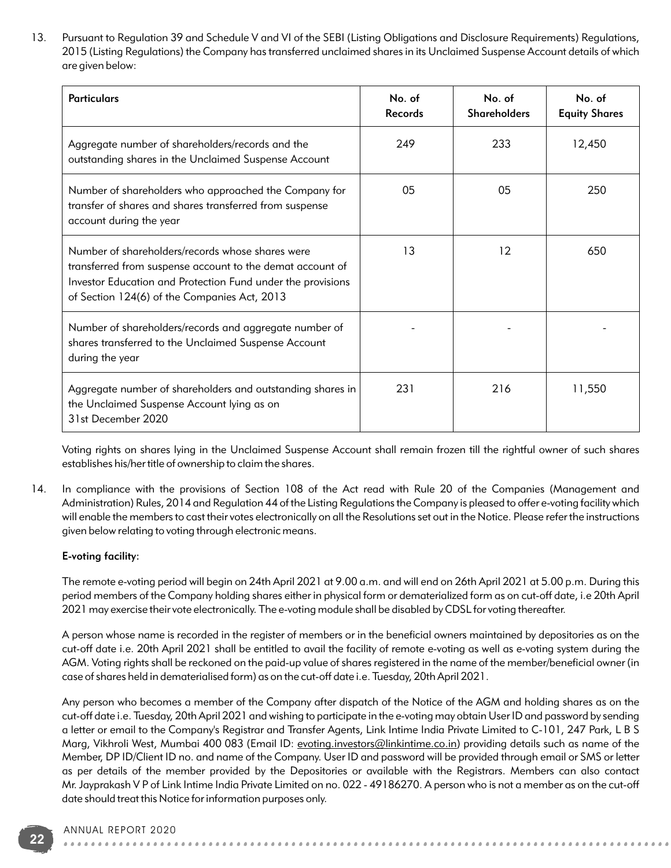13. Pursuant to Regulation 39 and Schedule V and VI of the SEBI (Listing Obligations and Disclosure Requirements) Regulations, 2015 (Listing Regulations) the Company has transferred unclaimed shares in its Unclaimed Suspense Account details of which are given below:

| <b>Particulars</b>                                                                                                                                                                                                           | No. of<br>Records | No. of<br><b>Shareholders</b> | No. of<br><b>Equity Shares</b> |
|------------------------------------------------------------------------------------------------------------------------------------------------------------------------------------------------------------------------------|-------------------|-------------------------------|--------------------------------|
| Aggregate number of shareholders/records and the<br>outstanding shares in the Unclaimed Suspense Account                                                                                                                     | 249               | 233                           | 12,450                         |
| Number of shareholders who approached the Company for<br>transfer of shares and shares transferred from suspense<br>account during the year                                                                                  | 05                | 05                            | 250                            |
| Number of shareholders/records whose shares were<br>transferred from suspense account to the demat account of<br>Investor Education and Protection Fund under the provisions<br>of Section 124(6) of the Companies Act, 2013 | 13                | $12 \overline{ }$             | 650                            |
| Number of shareholders/records and aggregate number of<br>shares transferred to the Unclaimed Suspense Account<br>during the year                                                                                            |                   |                               |                                |
| Aggregate number of shareholders and outstanding shares in<br>the Unclaimed Suspense Account lying as on<br>31st December 2020                                                                                               | 231               | 216                           | 11,550                         |

Voting rights on shares lying in the Unclaimed Suspense Account shall remain frozen till the rightful owner of such shares establishes his/her title of ownership to claim the shares.

14. In compliance with the provisions of Section 108 of the Act read with Rule 20 of the Companies (Management and Administration) Rules, 2014 and Regulation 44 of the Listing Regulations the Company is pleased to offer e-voting facility which will enable the members to cast their votes electronically on all the Resolutions set out in the Notice. Please refer the instructions given below relating to voting through electronic means.

#### E-voting facility:

The remote e-voting period will begin on 24th April 2021 at 9.00 a.m. and will end on 26th April 2021 at 5.00 p.m. During this period members of the Company holding shares either in physical form or dematerialized form as on cut-off date, i.e 20th April 2021 may exercise their vote electronically. The e-voting module shall be disabled by CDSL for voting thereafter.

A person whose name is recorded in the register of members or in the beneficial owners maintained by depositories as on the cut-off date i.e. 20th April 2021 shall be entitled to avail the facility of remote e-voting as well as e-voting system during the AGM. Voting rights shall be reckoned on the paid-up value of shares registered in the name of the member/beneficial owner (in case of shares held in dematerialised form) as on the cut-off date i.e. Tuesday, 20th April 2021.

Any person who becomes a member of the Company after dispatch of the Notice of the AGM and holding shares as on the cut-off date i.e. Tuesday, 20th April 2021 and wishing to participate in the e-voting may obtain User ID and password by sending a letter or email to the Company's Registrar and Transfer Agents, Link Intime India Private Limited to C-101, 247 Park, L B S Marg, Vikhroli West, Mumbai 400 083 (Email ID: evoting.investors@linkintime.co.in) providing details such as name of the Member, DP ID/Client ID no. and name of the Company. User ID and password will be provided through email or SMS or letter as per details of the member provided by the Depositories or available with the Registrars. Members can also contact Mr. Jayprakash V P of Link Intime India Private Limited on no. 022 - 49186270. A person who is not a member as on the cut-off date should treat this Notice for information purposes only.

#### ANNUAL REPORT 2020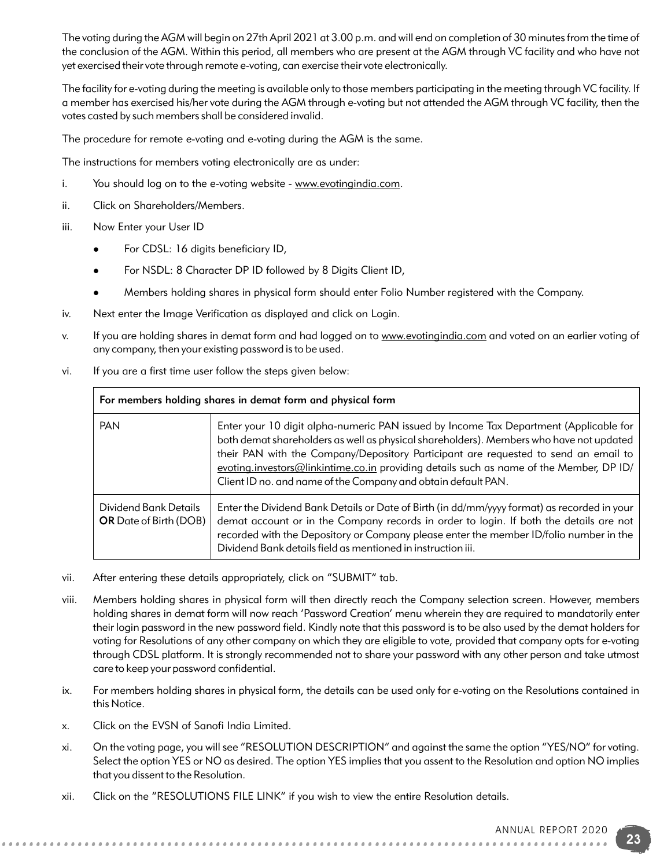The voting during the AGM will begin on 27th April 2021 at 3.00 p.m. and will end on completion of 30 minutes from the time of the conclusion of the AGM. Within this period, all members who are present at the AGM through VC facility and who have not yet exercised their vote through remote e-voting, can exercise their vote electronically.

The facility for e-voting during the meeting is available only to those members participating in the meeting through VC facility. If a member has exercised his/her vote during the AGM through e-voting but not attended the AGM through VC facility, then the votes casted by such members shall be considered invalid.

The procedure for remote e-voting and e-voting during the AGM is the same.

The instructions for members voting electronically are as under:

- i. You should log on to the e-voting website www.evotingindia.com.
- ii. Click on Shareholders/Members.
- iii. Now Enter your User ID
	- For CDSL: 16 digits beneficiary ID,
	- For NSDL: 8 Character DP ID followed by 8 Digits Client ID,
	- <sup>l</sup>Members holding shares in physical form should enter Folio Number registered with the Company.
- iv. Next enter the Image Verification as displayed and click on Login.
- v. If you are holding shares in demat form and had logged on to www.evotingindia.com and voted on an earlier voting of any company, then your existing password is to be used.
- vi. If you are a first time user follow the steps given below:

| For members holding shares in demat form and physical form |                                                                                                                                                                                                                                                                                                                                                                                                                                     |  |
|------------------------------------------------------------|-------------------------------------------------------------------------------------------------------------------------------------------------------------------------------------------------------------------------------------------------------------------------------------------------------------------------------------------------------------------------------------------------------------------------------------|--|
| <b>PAN</b>                                                 | Enter your 10 digit alpha-numeric PAN issued by Income Tax Department (Applicable for<br>both demat shareholders as well as physical shareholders). Members who have not updated<br>their PAN with the Company/Depository Participant are requested to send an email to<br>evoting.investors@linkintime.co.in providing details such as name of the Member, DP ID/<br>Client ID no. and name of the Company and obtain default PAN. |  |
| Dividend Bank Details<br><b>OR</b> Date of Birth (DOB)     | Enter the Dividend Bank Details or Date of Birth (in dd/mm/yyyy format) as recorded in your<br>demat account or in the Company records in order to login. If both the details are not<br>recorded with the Depository or Company please enter the member ID/folio number in the<br>Dividend Bank details field as mentioned in instruction iii.                                                                                     |  |

- vii. After entering these details appropriately, click on "SUBMIT" tab.
- viii. Members holding shares in physical form will then directly reach the Company selection screen. However, members holding shares in demat form will now reach 'Password Creation' menu wherein they are required to mandatorily enter their login password in the new password field. Kindly note that this password is to be also used by the demat holders for voting for Resolutions of any other company on which they are eligible to vote, provided that company opts for e-voting through CDSL platform. It is strongly recommended not to share your password with any other person and take utmost care to keep your password confidential.
- ix. For members holding shares in physical form, the details can be used only for e-voting on the Resolutions contained in this Notice.
- x. Click on the EVSN of Sanofi India Limited.
- xi. On the voting page, you will see "RESOLUTION DESCRIPTION" and against the same the option "YES/NO" for voting. Select the option YES or NO as desired. The option YES implies that you assent to the Resolution and option NO implies that you dissent to the Resolution.
- xii. Click on the "RESOLUTIONS FILE LINK" if you wish to view the entire Resolution details.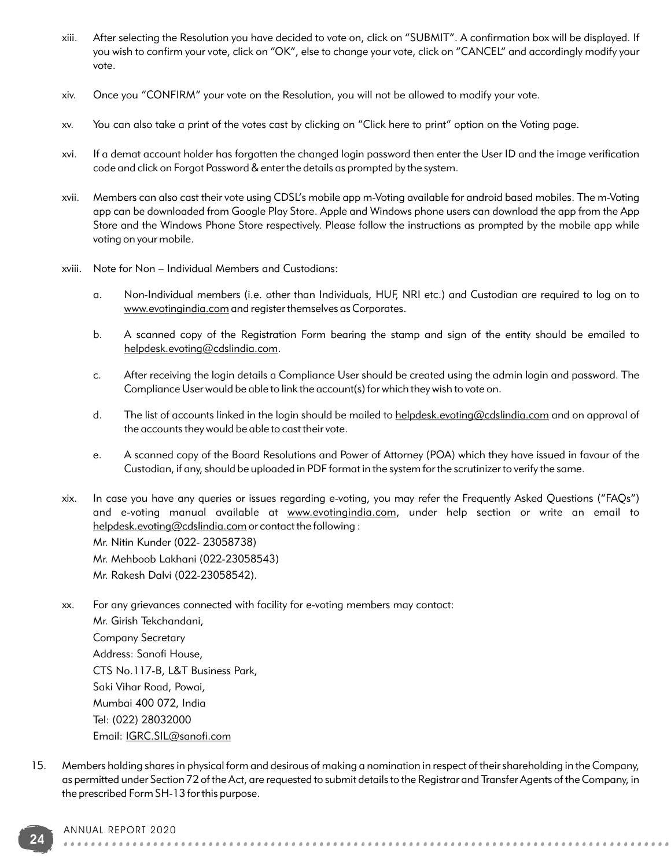- xiii. After selecting the Resolution you have decided to vote on, click on "SUBMIT". A confirmation box will be displayed. If you wish to confirm your vote, click on "OK", else to change your vote, click on "CANCEL" and accordingly modify your vote.
- xiv. Once you "CONFIRM" your vote on the Resolution, you will not be allowed to modify your vote.
- xv. You can also take a print of the votes cast by clicking on "Click here to print" option on the Voting page.
- xvi. If a demat account holder has forgotten the changed login password then enter the User ID and the image verification code and click on Forgot Password & enter the details as prompted by the system.
- xvii. Members can also cast their vote using CDSL's mobile app m-Voting available for android based mobiles. The m-Voting app can be downloaded from Google Play Store. Apple and Windows phone users can download the app from the App Store and the Windows Phone Store respectively. Please follow the instructions as prompted by the mobile app while voting on your mobile.
- xviii. Note for Non Individual Members and Custodians:
	- a. Non-Individual members (i.e. other than Individuals, HUF, NRI etc.) and Custodian are required to log on to www.evotingindia.com and register themselves as Corporates.
	- b. A scanned copy of the Registration Form bearing the stamp and sign of the entity should be emailed to helpdesk.evoting@cdslindia.com.
	- c. After receiving the login details a Compliance User should be created using the admin login and password. The Compliance User would be able to link the account(s) for which they wish to vote on.
	- d. The list of accounts linked in the login should be mailed to helpdesk.evoting@cdslindia.com and on approval of the accounts they would be able to cast their vote.
	- e. A scanned copy of the Board Resolutions and Power of Attorney (POA) which they have issued in favour of the Custodian, if any, should be uploaded in PDF format in the system for the scrutinizer to verify the same.
- xix. In case you have any queries or issues regarding e-voting, you may refer the Frequently Asked Questions ("FAQs") and e-voting manual available at www.evotingindia.com, under help section or write an email to helpdesk.evoting@cdslindia.com or contact the following :

Mr. Nitin Kunder (022- 23058738) Mr. Mehboob Lakhani (022-23058543)

Mr. Rakesh Dalvi (022-23058542).

xx. For any grievances connected with facility for e-voting members may contact:

Mr. Girish Tekchandani, Company Secretary Address: Sanofi House, CTS No.117-B, L&T Business Park, Saki Vihar Road, Powai, Mumbai 400 072, India Tel: (022) 28032000 Email: IGRC.SIL@sanofi.com

15. Members holding shares in physical form and desirous of making a nomination in respect of their shareholding in the Company, as permitted under Section 72 of the Act, are requested to submit details to the Registrar and Transfer Agents of the Company, in the prescribed Form SH-13 for this purpose.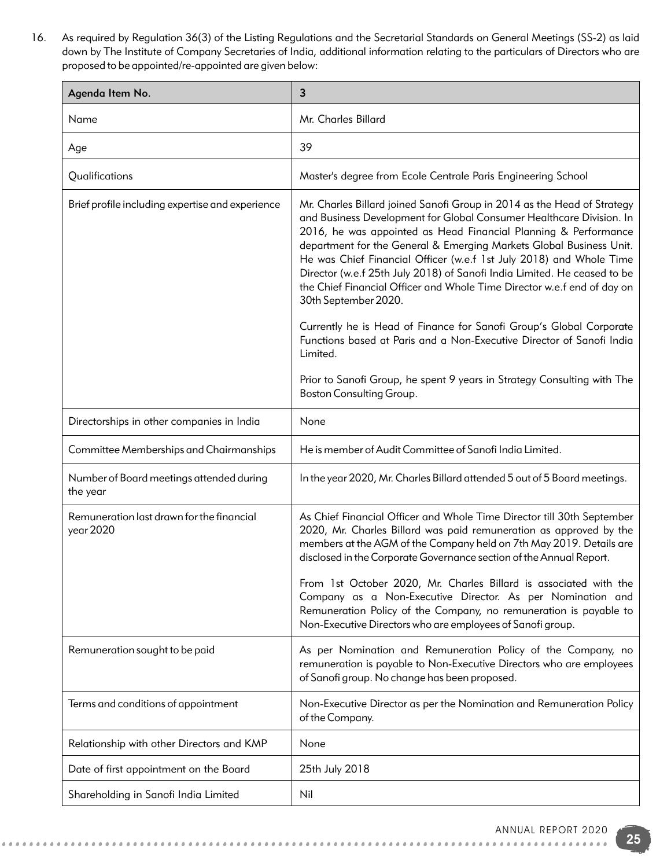16. As required by Regulation 36(3) of the Listing Regulations and the Secretarial Standards on General Meetings (SS-2) as laid down by The Institute of Company Secretaries of India, additional information relating to the particulars of Directors who are proposed to be appointed/re-appointed are given below:

| Agenda Item No.                                        | 3                                                                                                                                                                                                                                                                                                                                                                                                                                                                                                                                               |
|--------------------------------------------------------|-------------------------------------------------------------------------------------------------------------------------------------------------------------------------------------------------------------------------------------------------------------------------------------------------------------------------------------------------------------------------------------------------------------------------------------------------------------------------------------------------------------------------------------------------|
| Name                                                   | Mr. Charles Billard                                                                                                                                                                                                                                                                                                                                                                                                                                                                                                                             |
| Age                                                    | 39                                                                                                                                                                                                                                                                                                                                                                                                                                                                                                                                              |
| Qualifications                                         | Master's degree from Ecole Centrale Paris Engineering School                                                                                                                                                                                                                                                                                                                                                                                                                                                                                    |
| Brief profile including expertise and experience       | Mr. Charles Billard joined Sanofi Group in 2014 as the Head of Strategy<br>and Business Development for Global Consumer Healthcare Division. In<br>2016, he was appointed as Head Financial Planning & Performance<br>department for the General & Emerging Markets Global Business Unit.<br>He was Chief Financial Officer (w.e.f 1st July 2018) and Whole Time<br>Director (w.e.f 25th July 2018) of Sanofi India Limited. He ceased to be<br>the Chief Financial Officer and Whole Time Director w.e.f end of day on<br>30th September 2020. |
|                                                        | Currently he is Head of Finance for Sanofi Group's Global Corporate<br>Functions based at Paris and a Non-Executive Director of Sanofi India<br>Limited.                                                                                                                                                                                                                                                                                                                                                                                        |
|                                                        | Prior to Sanofi Group, he spent 9 years in Strategy Consulting with The<br>Boston Consulting Group.                                                                                                                                                                                                                                                                                                                                                                                                                                             |
| Directorships in other companies in India              | None                                                                                                                                                                                                                                                                                                                                                                                                                                                                                                                                            |
| Committee Memberships and Chairmanships                | He is member of Audit Committee of Sanofi India Limited.                                                                                                                                                                                                                                                                                                                                                                                                                                                                                        |
| Number of Board meetings attended during<br>the year   | In the year 2020, Mr. Charles Billard attended 5 out of 5 Board meetings.                                                                                                                                                                                                                                                                                                                                                                                                                                                                       |
| Remuneration last drawn for the financial<br>year 2020 | As Chief Financial Officer and Whole Time Director till 30th September<br>2020, Mr. Charles Billard was paid remuneration as approved by the<br>members at the AGM of the Company held on 7th May 2019. Details are<br>disclosed in the Corporate Governance section of the Annual Report.<br>From 1st October 2020, Mr. Charles Billard is associated with the                                                                                                                                                                                 |
|                                                        | Company as a Non-Executive Director. As per Nomination and<br>Remuneration Policy of the Company, no remuneration is payable to<br>Non-Executive Directors who are employees of Sanofi group.                                                                                                                                                                                                                                                                                                                                                   |
| Remuneration sought to be paid                         | As per Nomination and Remuneration Policy of the Company, no<br>remuneration is payable to Non-Executive Directors who are employees<br>of Sanofi group. No change has been proposed.                                                                                                                                                                                                                                                                                                                                                           |
| Terms and conditions of appointment                    | Non-Executive Director as per the Nomination and Remuneration Policy<br>of the Company.                                                                                                                                                                                                                                                                                                                                                                                                                                                         |
| Relationship with other Directors and KMP              | None                                                                                                                                                                                                                                                                                                                                                                                                                                                                                                                                            |
| Date of first appointment on the Board                 | 25th July 2018                                                                                                                                                                                                                                                                                                                                                                                                                                                                                                                                  |
| Shareholding in Sanofi India Limited                   | Nil                                                                                                                                                                                                                                                                                                                                                                                                                                                                                                                                             |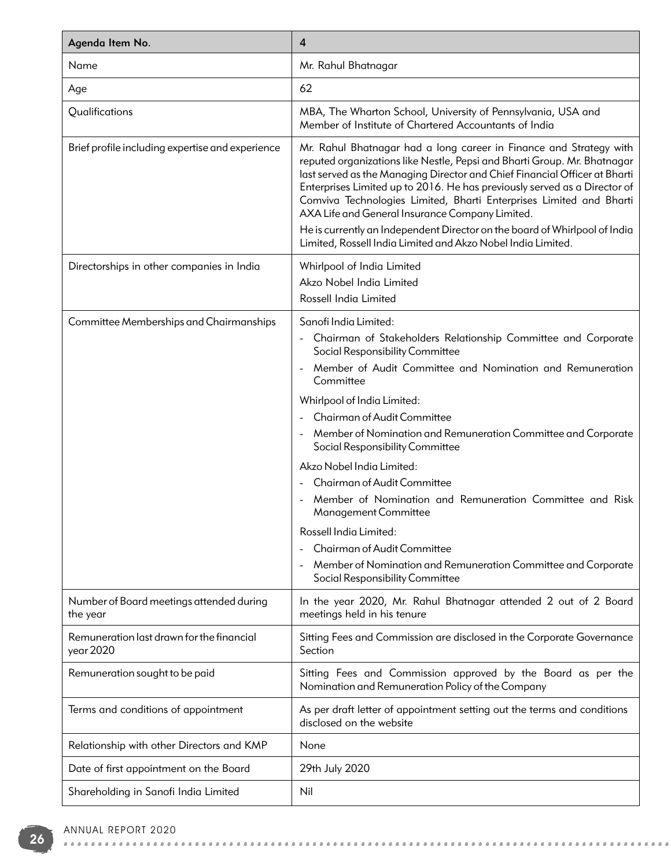| Agenda Item No.                                        | 4                                                                                                                                                                                                                                                                                                                                                                                                                                                                                                                                                                                 |
|--------------------------------------------------------|-----------------------------------------------------------------------------------------------------------------------------------------------------------------------------------------------------------------------------------------------------------------------------------------------------------------------------------------------------------------------------------------------------------------------------------------------------------------------------------------------------------------------------------------------------------------------------------|
| Name                                                   | Mr. Rahul Bhatnagar                                                                                                                                                                                                                                                                                                                                                                                                                                                                                                                                                               |
| Age                                                    | 62                                                                                                                                                                                                                                                                                                                                                                                                                                                                                                                                                                                |
| Qualifications                                         | MBA, The Wharton School, University of Pennsylvania, USA and<br>Member of Institute of Chartered Accountants of India                                                                                                                                                                                                                                                                                                                                                                                                                                                             |
| Brief profile including expertise and experience       | Mr. Rahul Bhatnagar had a long career in Finance and Strategy with<br>reputed organizations like Nestle, Pepsi and Bharti Group. Mr. Bhatnagar<br>last served as the Managing Director and Chief Financial Officer at Bharti<br>Enterprises Limited up to 2016. He has previously served as a Director of<br>Comviva Technologies Limited, Bharti Enterprises Limited and Bharti<br>AXA Life and General Insurance Company Limited.<br>He is currently an Independent Director on the board of Whirlpool of India<br>Limited, Rossell India Limited and Akzo Nobel India Limited. |
| Directorships in other companies in India              | Whirlpool of India Limited<br>Akzo Nobel India Limited<br>Rossell India Limited                                                                                                                                                                                                                                                                                                                                                                                                                                                                                                   |
| Committee Memberships and Chairmanships                | Sanofi India Limited:                                                                                                                                                                                                                                                                                                                                                                                                                                                                                                                                                             |
|                                                        | Chairman of Stakeholders Relationship Committee and Corporate<br>Social Responsibility Committee                                                                                                                                                                                                                                                                                                                                                                                                                                                                                  |
|                                                        | Member of Audit Committee and Nomination and Remuneration<br>Committee                                                                                                                                                                                                                                                                                                                                                                                                                                                                                                            |
|                                                        | Whirlpool of India Limited:                                                                                                                                                                                                                                                                                                                                                                                                                                                                                                                                                       |
|                                                        | Chairman of Audit Committee                                                                                                                                                                                                                                                                                                                                                                                                                                                                                                                                                       |
|                                                        | Member of Nomination and Remuneration Committee and Corporate<br>Social Responsibility Committee                                                                                                                                                                                                                                                                                                                                                                                                                                                                                  |
|                                                        | Akzo Nobel India Limited:                                                                                                                                                                                                                                                                                                                                                                                                                                                                                                                                                         |
|                                                        | Chairman of Audit Committee                                                                                                                                                                                                                                                                                                                                                                                                                                                                                                                                                       |
|                                                        | Member of Nomination and Remuneration Committee and Risk<br>Management Committee                                                                                                                                                                                                                                                                                                                                                                                                                                                                                                  |
|                                                        | Rossell India Limited:                                                                                                                                                                                                                                                                                                                                                                                                                                                                                                                                                            |
|                                                        | Chairman of Audit Committee<br>Member of Nomination and Remuneration Committee and Corporate                                                                                                                                                                                                                                                                                                                                                                                                                                                                                      |
|                                                        | Social Responsibility Committee                                                                                                                                                                                                                                                                                                                                                                                                                                                                                                                                                   |
| Number of Board meetings attended during<br>the year   | In the year 2020, Mr. Rahul Bhatnagar attended 2 out of 2 Board<br>meetings held in his tenure                                                                                                                                                                                                                                                                                                                                                                                                                                                                                    |
| Remuneration last drawn for the financial<br>year 2020 | Sitting Fees and Commission are disclosed in the Corporate Governance<br>Section                                                                                                                                                                                                                                                                                                                                                                                                                                                                                                  |
| Remuneration sought to be paid                         | Sitting Fees and Commission approved by the Board as per the<br>Nomination and Remuneration Policy of the Company                                                                                                                                                                                                                                                                                                                                                                                                                                                                 |
| Terms and conditions of appointment                    | As per draft letter of appointment setting out the terms and conditions<br>disclosed on the website                                                                                                                                                                                                                                                                                                                                                                                                                                                                               |
| Relationship with other Directors and KMP              | None                                                                                                                                                                                                                                                                                                                                                                                                                                                                                                                                                                              |
| Date of first appointment on the Board                 | 29th July 2020                                                                                                                                                                                                                                                                                                                                                                                                                                                                                                                                                                    |
| Shareholding in Sanofi India Limited                   | Nil                                                                                                                                                                                                                                                                                                                                                                                                                                                                                                                                                                               |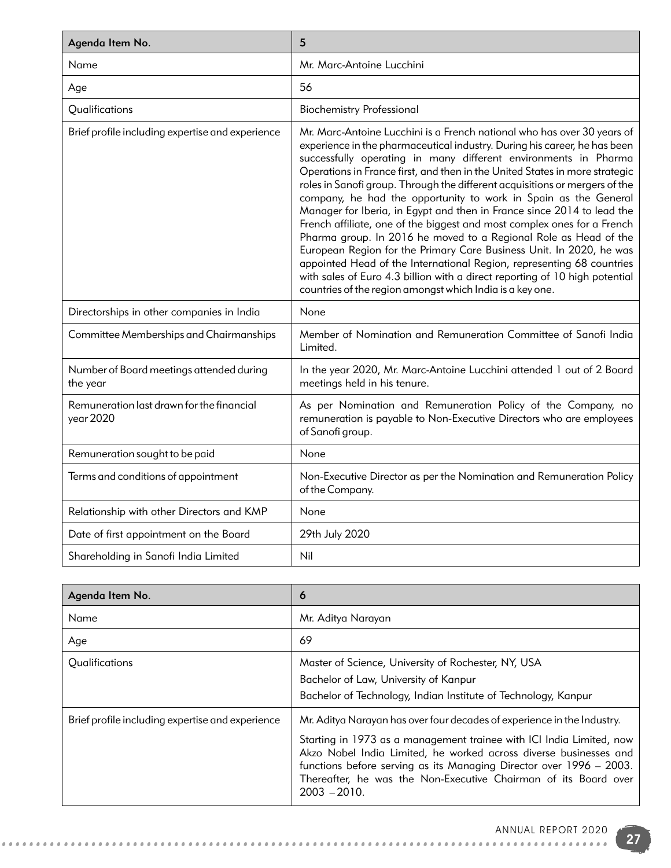| Agenda Item No.                                        | 5                                                                                                                                                                                                                                                                                                                                                                                                                                                                                                                                                                                                                                                                                                                                                                                                                                                                                                                                                                             |
|--------------------------------------------------------|-------------------------------------------------------------------------------------------------------------------------------------------------------------------------------------------------------------------------------------------------------------------------------------------------------------------------------------------------------------------------------------------------------------------------------------------------------------------------------------------------------------------------------------------------------------------------------------------------------------------------------------------------------------------------------------------------------------------------------------------------------------------------------------------------------------------------------------------------------------------------------------------------------------------------------------------------------------------------------|
| Name                                                   | Mr. Marc-Antoine Lucchini                                                                                                                                                                                                                                                                                                                                                                                                                                                                                                                                                                                                                                                                                                                                                                                                                                                                                                                                                     |
| Age                                                    | 56                                                                                                                                                                                                                                                                                                                                                                                                                                                                                                                                                                                                                                                                                                                                                                                                                                                                                                                                                                            |
| Qualifications                                         | <b>Biochemistry Professional</b>                                                                                                                                                                                                                                                                                                                                                                                                                                                                                                                                                                                                                                                                                                                                                                                                                                                                                                                                              |
| Brief profile including expertise and experience       | Mr. Marc-Antoine Lucchini is a French national who has over 30 years of<br>experience in the pharmaceutical industry. During his career, he has been<br>successfully operating in many different environments in Pharma<br>Operations in France first, and then in the United States in more strategic<br>roles in Sanofi group. Through the different acquisitions or mergers of the<br>company, he had the opportunity to work in Spain as the General<br>Manager for Iberia, in Egypt and then in France since 2014 to lead the<br>French affiliate, one of the biggest and most complex ones for a French<br>Pharma group. In 2016 he moved to a Regional Role as Head of the<br>European Region for the Primary Care Business Unit. In 2020, he was<br>appointed Head of the International Region, representing 68 countries<br>with sales of Euro 4.3 billion with a direct reporting of 10 high potential<br>countries of the region amongst which India is a key one. |
| Directorships in other companies in India              | None                                                                                                                                                                                                                                                                                                                                                                                                                                                                                                                                                                                                                                                                                                                                                                                                                                                                                                                                                                          |
| Committee Memberships and Chairmanships                | Member of Nomination and Remuneration Committee of Sanofi India<br>Limited.                                                                                                                                                                                                                                                                                                                                                                                                                                                                                                                                                                                                                                                                                                                                                                                                                                                                                                   |
| Number of Board meetings attended during<br>the year   | In the year 2020, Mr. Marc-Antoine Lucchini attended 1 out of 2 Board<br>meetings held in his tenure.                                                                                                                                                                                                                                                                                                                                                                                                                                                                                                                                                                                                                                                                                                                                                                                                                                                                         |
| Remuneration last drawn for the financial<br>year 2020 | As per Nomination and Remuneration Policy of the Company, no<br>remuneration is payable to Non-Executive Directors who are employees<br>of Sanofi group.                                                                                                                                                                                                                                                                                                                                                                                                                                                                                                                                                                                                                                                                                                                                                                                                                      |
| Remuneration sought to be paid                         | None                                                                                                                                                                                                                                                                                                                                                                                                                                                                                                                                                                                                                                                                                                                                                                                                                                                                                                                                                                          |
| Terms and conditions of appointment                    | Non-Executive Director as per the Nomination and Remuneration Policy<br>of the Company.                                                                                                                                                                                                                                                                                                                                                                                                                                                                                                                                                                                                                                                                                                                                                                                                                                                                                       |
| Relationship with other Directors and KMP              | None                                                                                                                                                                                                                                                                                                                                                                                                                                                                                                                                                                                                                                                                                                                                                                                                                                                                                                                                                                          |
| Date of first appointment on the Board                 | 29th July 2020                                                                                                                                                                                                                                                                                                                                                                                                                                                                                                                                                                                                                                                                                                                                                                                                                                                                                                                                                                |
| Shareholding in Sanofi India Limited                   | Nil                                                                                                                                                                                                                                                                                                                                                                                                                                                                                                                                                                                                                                                                                                                                                                                                                                                                                                                                                                           |

| Agenda Item No.                                  | O                                                                                                                                                                                                                                                                                                                                                                                |
|--------------------------------------------------|----------------------------------------------------------------------------------------------------------------------------------------------------------------------------------------------------------------------------------------------------------------------------------------------------------------------------------------------------------------------------------|
| Name                                             | Mr. Aditya Narayan                                                                                                                                                                                                                                                                                                                                                               |
| Age                                              | 69                                                                                                                                                                                                                                                                                                                                                                               |
| Qualifications                                   | Master of Science, University of Rochester, NY, USA<br>Bachelor of Law, University of Kanpur<br>Bachelor of Technology, Indian Institute of Technology, Kanpur                                                                                                                                                                                                                   |
| Brief profile including expertise and experience | Mr. Aditya Narayan has over four decades of experience in the Industry.<br>Starting in 1973 as a management trainee with ICI India Limited, now<br>Akzo Nobel India Limited, he worked across diverse businesses and<br>functions before serving as its Managing Director over 1996 – 2003.<br>Thereafter, he was the Non-Executive Chairman of its Board over<br>$2003 - 2010.$ |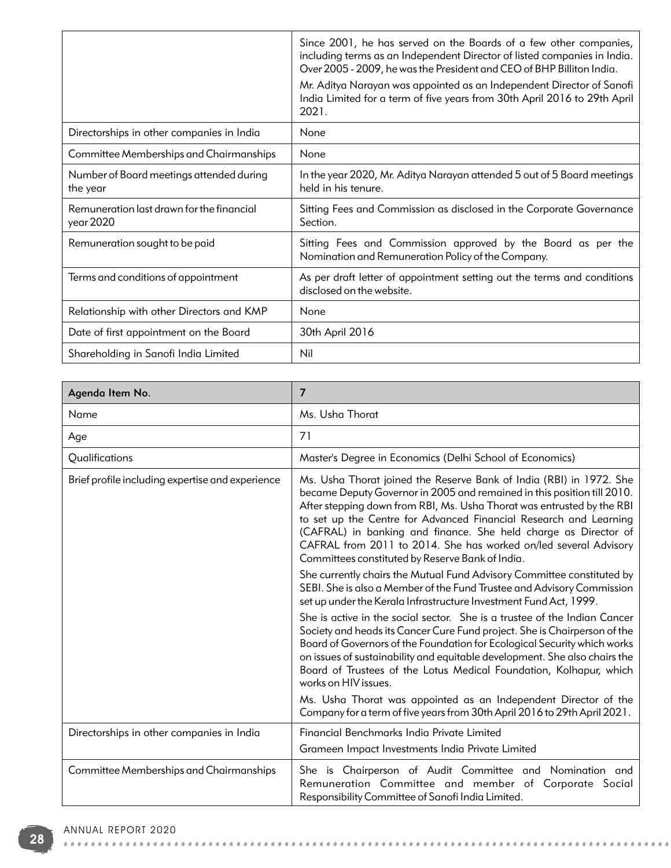|                                                        | Since 2001, he has served on the Boards of a few other companies,<br>including terms as an Independent Director of listed companies in India.<br>Over 2005 - 2009, he was the President and CEO of BHP Billiton India.<br>Mr. Aditya Narayan was appointed as an Independent Director of Sanofi<br>India Limited for a term of five years from 30th April 2016 to 29th April<br>2021. |
|--------------------------------------------------------|---------------------------------------------------------------------------------------------------------------------------------------------------------------------------------------------------------------------------------------------------------------------------------------------------------------------------------------------------------------------------------------|
| Directorships in other companies in India              | None                                                                                                                                                                                                                                                                                                                                                                                  |
| Committee Memberships and Chairmanships                | None                                                                                                                                                                                                                                                                                                                                                                                  |
| Number of Board meetings attended during<br>the year   | In the year 2020, Mr. Aditya Narayan attended 5 out of 5 Board meetings<br>held in his tenure.                                                                                                                                                                                                                                                                                        |
| Remuneration last drawn for the financial<br>year 2020 | Sitting Fees and Commission as disclosed in the Corporate Governance<br>Section.                                                                                                                                                                                                                                                                                                      |
| Remuneration sought to be paid                         | Sitting Fees and Commission approved by the Board as per the<br>Nomination and Remuneration Policy of the Company.                                                                                                                                                                                                                                                                    |
| Terms and conditions of appointment                    | As per draft letter of appointment setting out the terms and conditions<br>disclosed on the website.                                                                                                                                                                                                                                                                                  |
| Relationship with other Directors and KMP              | None                                                                                                                                                                                                                                                                                                                                                                                  |
| Date of first appointment on the Board                 | 30th April 2016                                                                                                                                                                                                                                                                                                                                                                       |
| Shareholding in Sanofi India Limited                   | Nil                                                                                                                                                                                                                                                                                                                                                                                   |

| Agenda Item No.                                  | 7                                                                                                                                                                                                                                                                                                                                                                                                                                                                                        |
|--------------------------------------------------|------------------------------------------------------------------------------------------------------------------------------------------------------------------------------------------------------------------------------------------------------------------------------------------------------------------------------------------------------------------------------------------------------------------------------------------------------------------------------------------|
| Name                                             | Ms. Usha Thorat                                                                                                                                                                                                                                                                                                                                                                                                                                                                          |
| Age                                              | 71                                                                                                                                                                                                                                                                                                                                                                                                                                                                                       |
| Qualifications                                   | Master's Degree in Economics (Delhi School of Economics)                                                                                                                                                                                                                                                                                                                                                                                                                                 |
| Brief profile including expertise and experience | Ms. Usha Thorat joined the Reserve Bank of India (RBI) in 1972. She<br>became Deputy Governor in 2005 and remained in this position till 2010.<br>After stepping down from RBI, Ms. Usha Thorat was entrusted by the RBI<br>to set up the Centre for Advanced Financial Research and Learning<br>(CAFRAL) in banking and finance. She held charge as Director of<br>CAFRAL from 2011 to 2014. She has worked on/led several Advisory<br>Committees constituted by Reserve Bank of India. |
|                                                  | She currently chairs the Mutual Fund Advisory Committee constituted by<br>SEBI. She is also a Member of the Fund Trustee and Advisory Commission<br>set up under the Kerala Infrastructure Investment Fund Act, 1999.                                                                                                                                                                                                                                                                    |
|                                                  | She is active in the social sector. She is a trustee of the Indian Cancer<br>Society and heads its Cancer Cure Fund project. She is Chairperson of the<br>Board of Governors of the Foundation for Ecological Security which works<br>on issues of sustainability and equitable development. She also chairs the<br>Board of Trustees of the Lotus Medical Foundation, Kolhapur, which<br>works on HIV issues.                                                                           |
|                                                  | Ms. Usha Thorat was appointed as an Independent Director of the<br>Company for a term of five years from 30th April 2016 to 29th April 2021.                                                                                                                                                                                                                                                                                                                                             |
| Directorships in other companies in India        | Financial Benchmarks India Private Limited<br>Grameen Impact Investments India Private Limited                                                                                                                                                                                                                                                                                                                                                                                           |
| Committee Memberships and Chairmanships          | She is Chairperson of Audit Committee and Nomination and<br>Remuneration Committee and member of Corporate Social<br>Responsibility Committee of Sanofi India Limited.                                                                                                                                                                                                                                                                                                                   |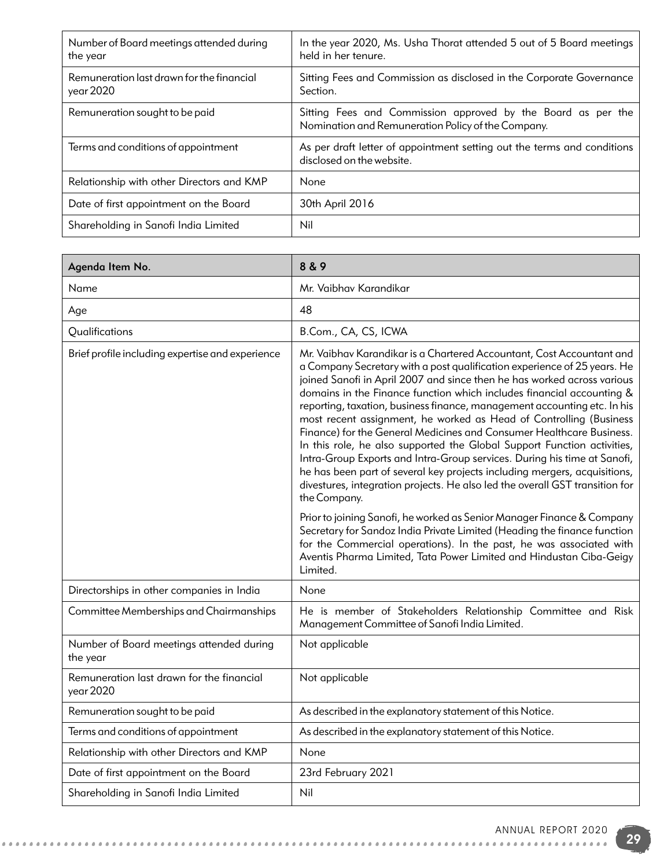| Number of Board meetings attended during<br>the year   | In the year 2020, Ms. Usha Thorat attended 5 out of 5 Board meetings<br>held in her tenure.                        |
|--------------------------------------------------------|--------------------------------------------------------------------------------------------------------------------|
| Remuneration last drawn for the financial<br>year 2020 | Sitting Fees and Commission as disclosed in the Corporate Governance<br>Section.                                   |
| Remuneration sought to be paid                         | Sitting Fees and Commission approved by the Board as per the<br>Nomination and Remuneration Policy of the Company. |
| Terms and conditions of appointment                    | As per draft letter of appointment setting out the terms and conditions<br>disclosed on the website.               |
| Relationship with other Directors and KMP              | None                                                                                                               |
| Date of first appointment on the Board                 | 30th April 2016                                                                                                    |
| Shareholding in Sanofi India Limited                   | Nil                                                                                                                |

| Agenda Item No.                                        | 8 & 9                                                                                                                                                                                                                                                                                                                                                                                                                                                                                                                                                                                                                                                                                                                                                                                                                                                               |
|--------------------------------------------------------|---------------------------------------------------------------------------------------------------------------------------------------------------------------------------------------------------------------------------------------------------------------------------------------------------------------------------------------------------------------------------------------------------------------------------------------------------------------------------------------------------------------------------------------------------------------------------------------------------------------------------------------------------------------------------------------------------------------------------------------------------------------------------------------------------------------------------------------------------------------------|
| Name                                                   | Mr. Vaibhav Karandikar                                                                                                                                                                                                                                                                                                                                                                                                                                                                                                                                                                                                                                                                                                                                                                                                                                              |
| Age                                                    | 48                                                                                                                                                                                                                                                                                                                                                                                                                                                                                                                                                                                                                                                                                                                                                                                                                                                                  |
| Qualifications                                         | B.Com., CA, CS, ICWA                                                                                                                                                                                                                                                                                                                                                                                                                                                                                                                                                                                                                                                                                                                                                                                                                                                |
| Brief profile including expertise and experience       | Mr. Vaibhav Karandikar is a Chartered Accountant, Cost Accountant and<br>a Company Secretary with a post qualification experience of 25 years. He<br>joined Sanofi in April 2007 and since then he has worked across various<br>domains in the Finance function which includes financial accounting &<br>reporting, taxation, business finance, management accounting etc. In his<br>most recent assignment, he worked as Head of Controlling (Business<br>Finance) for the General Medicines and Consumer Healthcare Business.<br>In this role, he also supported the Global Support Function activities,<br>Intra-Group Exports and Intra-Group services. During his time at Sanofi,<br>he has been part of several key projects including mergers, acquisitions,<br>divestures, integration projects. He also led the overall GST transition for<br>the Company. |
|                                                        | Prior to joining Sanofi, he worked as Senior Manager Finance & Company<br>Secretary for Sandoz India Private Limited (Heading the finance function<br>for the Commercial operations). In the past, he was associated with<br>Aventis Pharma Limited, Tata Power Limited and Hindustan Ciba-Geigy<br>Limited.                                                                                                                                                                                                                                                                                                                                                                                                                                                                                                                                                        |
| Directorships in other companies in India              | None                                                                                                                                                                                                                                                                                                                                                                                                                                                                                                                                                                                                                                                                                                                                                                                                                                                                |
| Committee Memberships and Chairmanships                | He is member of Stakeholders Relationship Committee and Risk<br>Management Committee of Sanofi India Limited.                                                                                                                                                                                                                                                                                                                                                                                                                                                                                                                                                                                                                                                                                                                                                       |
| Number of Board meetings attended during<br>the year   | Not applicable                                                                                                                                                                                                                                                                                                                                                                                                                                                                                                                                                                                                                                                                                                                                                                                                                                                      |
| Remuneration last drawn for the financial<br>year 2020 | Not applicable                                                                                                                                                                                                                                                                                                                                                                                                                                                                                                                                                                                                                                                                                                                                                                                                                                                      |
| Remuneration sought to be paid                         | As described in the explanatory statement of this Notice.                                                                                                                                                                                                                                                                                                                                                                                                                                                                                                                                                                                                                                                                                                                                                                                                           |
| Terms and conditions of appointment                    | As described in the explanatory statement of this Notice.                                                                                                                                                                                                                                                                                                                                                                                                                                                                                                                                                                                                                                                                                                                                                                                                           |
| Relationship with other Directors and KMP              | None                                                                                                                                                                                                                                                                                                                                                                                                                                                                                                                                                                                                                                                                                                                                                                                                                                                                |
| Date of first appointment on the Board                 | 23rd February 2021                                                                                                                                                                                                                                                                                                                                                                                                                                                                                                                                                                                                                                                                                                                                                                                                                                                  |
| Shareholding in Sanofi India Limited                   | Nil                                                                                                                                                                                                                                                                                                                                                                                                                                                                                                                                                                                                                                                                                                                                                                                                                                                                 |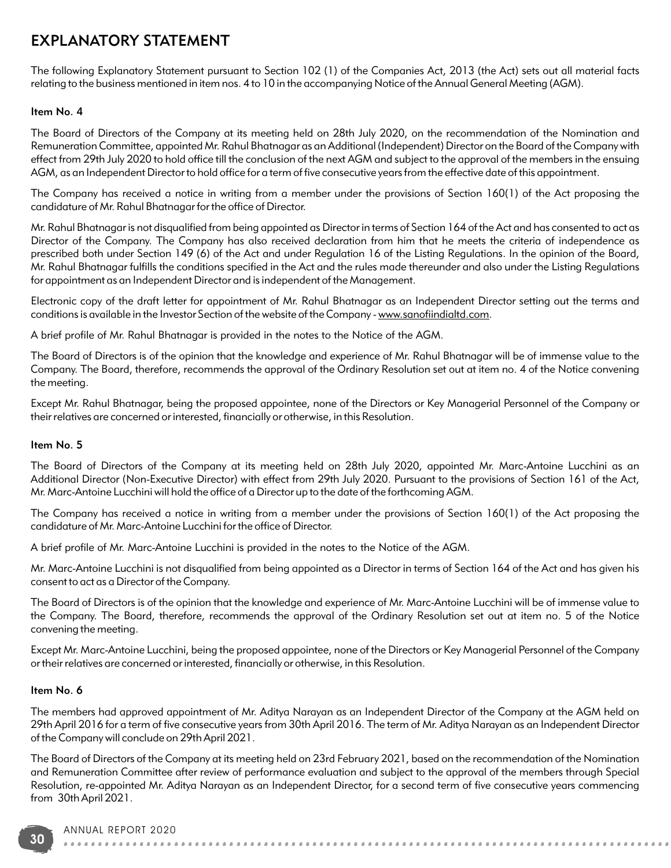# EXPLANATORY STATEMENT

The following Explanatory Statement pursuant to Section 102 (1) of the Companies Act, 2013 (the Act) sets out all material facts relating to the business mentioned in item nos. 4 to 10 in the accompanying Notice of the Annual General Meeting (AGM).

#### Item No. 4

The Board of Directors of the Company at its meeting held on 28th July 2020, on the recommendation of the Nomination and Remuneration Committee, appointed Mr. Rahul Bhatnagar as an Additional (Independent) Director on the Board of the Company with effect from 29th July 2020 to hold office till the conclusion of the next AGM and subject to the approval of the members in the ensuing AGM, as an Independent Director to hold office for a term of five consecutive years from the effective date of this appointment.

The Company has received a notice in writing from a member under the provisions of Section 160(1) of the Act proposing the candidature of Mr. Rahul Bhatnagar for the office of Director.

Mr. Rahul Bhatnagar is not disqualified from being appointed as Director in terms of Section 164 of the Act and has consented to act as Director of the Company. The Company has also received declaration from him that he meets the criteria of independence as prescribed both under Section 149 (6) of the Act and under Regulation 16 of the Listing Regulations. In the opinion of the Board, Mr. Rahul Bhatnagar fulfills the conditions specified in the Act and the rules made thereunder and also under the Listing Regulations for appointment as an Independent Director and is independent of the Management.

Electronic copy of the draft letter for appointment of Mr. Rahul Bhatnagar as an Independent Director setting out the terms and conditions is available in the Investor Section of the website of the Company - www.sanofiindialtd.com.

A brief profile of Mr. Rahul Bhatnagar is provided in the notes to the Notice of the AGM.

The Board of Directors is of the opinion that the knowledge and experience of Mr. Rahul Bhatnagar will be of immense value to the Company. The Board, therefore, recommends the approval of the Ordinary Resolution set out at item no. 4 of the Notice convening the meeting.

Except Mr. Rahul Bhatnagar, being the proposed appointee, none of the Directors or Key Managerial Personnel of the Company or their relatives are concerned or interested, financially or otherwise, in this Resolution.

#### Item No. 5

The Board of Directors of the Company at its meeting held on 28th July 2020, appointed Mr. Marc-Antoine Lucchini as an Additional Director (Non-Executive Director) with effect from 29th July 2020. Pursuant to the provisions of Section 161 of the Act, Mr. Marc-Antoine Lucchini will hold the office of a Director up to the date of the forthcoming AGM.

The Company has received a notice in writing from a member under the provisions of Section 160(1) of the Act proposing the candidature of Mr. Marc-Antoine Lucchini for the office of Director.

A brief profile of Mr. Marc-Antoine Lucchini is provided in the notes to the Notice of the AGM.

Mr. Marc-Antoine Lucchini is not disqualified from being appointed as a Director in terms of Section 164 of the Act and has given his consent to act as a Director of the Company.

The Board of Directors is of the opinion that the knowledge and experience of Mr. Marc-Antoine Lucchini will be of immense value to the Company. The Board, therefore, recommends the approval of the Ordinary Resolution set out at item no. 5 of the Notice convening the meeting.

Except Mr. Marc-Antoine Lucchini, being the proposed appointee, none of the Directors or Key Managerial Personnel of the Company or their relatives are concerned or interested, financially or otherwise, in this Resolution.

#### Item No. 6

The members had approved appointment of Mr. Aditya Narayan as an Independent Director of the Company at the AGM held on 29th April 2016 for a term of five consecutive years from 30th April 2016. The term of Mr. Aditya Narayan as an Independent Director of the Company will conclude on 29th April 2021.

The Board of Directors of the Company at its meeting held on 23rd February 2021, based on the recommendation of the Nomination and Remuneration Committee after review of performance evaluation and subject to the approval of the members through Special Resolution, re-appointed Mr. Aditya Narayan as an Independent Director, for a second term of five consecutive years commencing from 30th April 2021.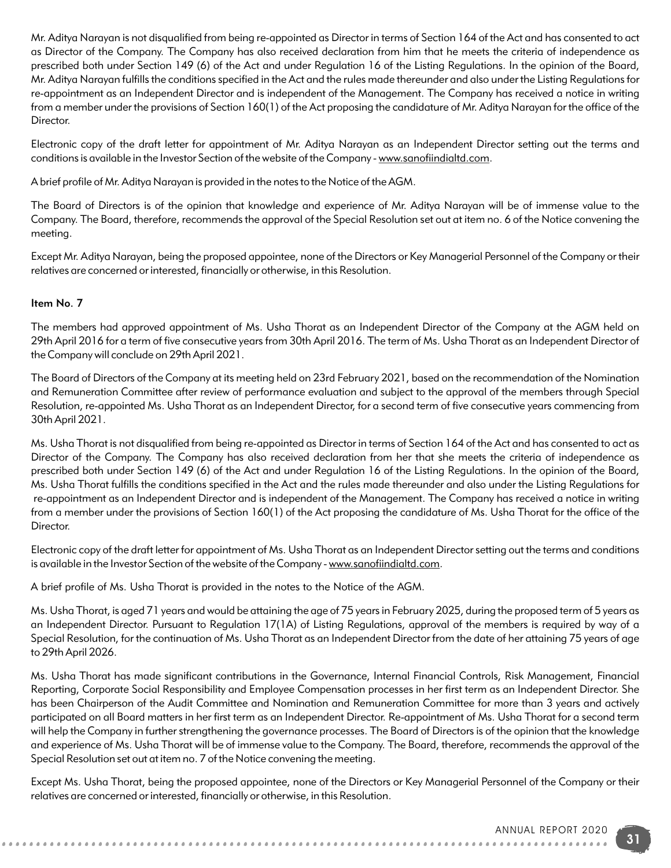Mr. Aditya Narayan is not disqualified from being re-appointed as Director in terms of Section 164 of the Act and has consented to act as Director of the Company. The Company has also received declaration from him that he meets the criteria of independence as prescribed both under Section 149 (6) of the Act and under Regulation 16 of the Listing Regulations. In the opinion of the Board, Mr. Aditya Narayan fulfills the conditions specified in the Act and the rules made thereunder and also under the Listing Regulations for re-appointment as an Independent Director and is independent of the Management. The Company has received a notice in writing from a member under the provisions of Section 160(1) of the Act proposing the candidature of Mr. Aditya Narayan for the office of the Director.

Electronic copy of the draft letter for appointment of Mr. Aditya Narayan as an Independent Director setting out the terms and conditions is available in the Investor Section of the website of the Company - www.sanofiindialtd.com.

A brief profile of Mr. Aditya Narayan is provided in the notes to the Notice of the AGM.

The Board of Directors is of the opinion that knowledge and experience of Mr. Aditya Narayan will be of immense value to the Company. The Board, therefore, recommends the approval of the Special Resolution set out at item no. 6 of the Notice convening the meeting.

Except Mr. Aditya Narayan, being the proposed appointee, none of the Directors or Key Managerial Personnel of the Company or their relatives are concerned or interested, financially or otherwise, in this Resolution.

### Item No. 7

The members had approved appointment of Ms. Usha Thorat as an Independent Director of the Company at the AGM held on 29th April 2016 for a term of five consecutive years from 30th April 2016. The term of Ms. Usha Thorat as an Independent Director of the Company will conclude on 29th April 2021.

The Board of Directors of the Company at its meeting held on 23rd February 2021, based on the recommendation of the Nomination and Remuneration Committee after review of performance evaluation and subject to the approval of the members through Special Resolution, re-appointed Ms. Usha Thorat as an Independent Director, for a second term of five consecutive years commencing from 30th April 2021.

Ms. Usha Thorat is not disqualified from being re-appointed as Director in terms of Section 164 of the Act and has consented to act as Director of the Company. The Company has also received declaration from her that she meets the criteria of independence as prescribed both under Section 149 (6) of the Act and under Regulation 16 of the Listing Regulations. In the opinion of the Board, Ms. Usha Thorat fulfills the conditions specified in the Act and the rules made thereunder and also under the Listing Regulations for re-appointment as an Independent Director and is independent of the Management. The Company has received a notice in writing from a member under the provisions of Section 160(1) of the Act proposing the candidature of Ms. Usha Thorat for the office of the Director.

Electronic copy of the draft letter for appointment of Ms. Usha Thorat as an Independent Director setting out the terms and conditions is available in the Investor Section of the website of the Company - www.sanofiindialtd.com.

A brief profile of Ms. Usha Thorat is provided in the notes to the Notice of the AGM.

Ms. Usha Thorat, is aged 71 years and would be attaining the age of 75 years in February 2025, during the proposed term of 5 years as an Independent Director. Pursuant to Regulation 17(1A) of Listing Regulations, approval of the members is required by way of a Special Resolution, for the continuation of Ms. Usha Thorat as an Independent Director from the date of her attaining 75 years of age to 29th April 2026.

Ms. Usha Thorat has made significant contributions in the Governance, Internal Financial Controls, Risk Management, Financial Reporting, Corporate Social Responsibility and Employee Compensation processes in her first term as an Independent Director. She has been Chairperson of the Audit Committee and Nomination and Remuneration Committee for more than 3 years and actively participated on all Board matters in her first term as an Independent Director. Re-appointment of Ms. Usha Thorat for a second term will help the Company in further strengthening the governance processes. The Board of Directors is of the opinion that the knowledge and experience of Ms. Usha Thorat will be of immense value to the Company. The Board, therefore, recommends the approval of the Special Resolution set out at item no. 7 of the Notice convening the meeting.

Except Ms. Usha Thorat, being the proposed appointee, none of the Directors or Key Managerial Personnel of the Company or their relatives are concerned or interested, financially or otherwise, in this Resolution.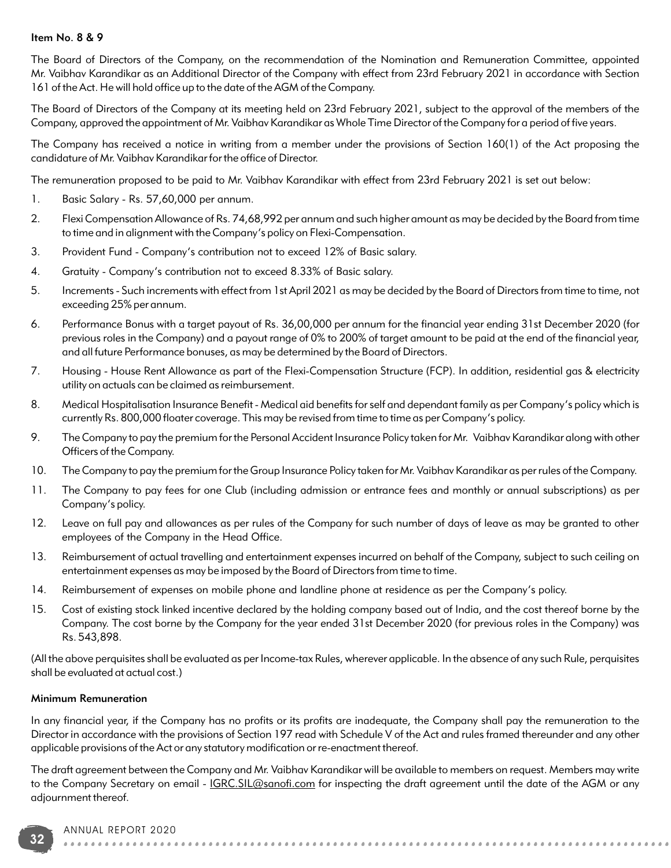#### Item No. 8 & 9

The Board of Directors of the Company, on the recommendation of the Nomination and Remuneration Committee, appointed Mr. Vaibhav Karandikar as an Additional Director of the Company with effect from 23rd February 2021 in accordance with Section 161 of the Act. He will hold office up to the date of the AGM of the Company.

The Board of Directors of the Company at its meeting held on 23rd February 2021, subject to the approval of the members of the Company, approved the appointment of Mr. Vaibhav Karandikar as Whole Time Director of the Company for a period of five years.

The Company has received a notice in writing from a member under the provisions of Section 160(1) of the Act proposing the candidature of Mr. Vaibhav Karandikar for the office of Director.

The remuneration proposed to be paid to Mr. Vaibhav Karandikar with effect from 23rd February 2021 is set out below:

- 1. Basic Salary Rs. 57,60,000 per annum.
- 2. Flexi Compensation Allowance of Rs. 74,68,992 per annum and such higher amount as may be decided by the Board from time to time and in alignment with the Company's policy on Flexi-Compensation.
- 3. Provident Fund Company's contribution not to exceed 12% of Basic salary.
- 4. Gratuity Company's contribution not to exceed 8.33% of Basic salary.
- 5. Increments Such increments with effect from 1st April 2021 as may be decided by the Board of Directors from time to time, not exceeding 25% per annum.
- 6. Performance Bonus with a target payout of Rs. 36,00,000 per annum for the financial year ending 31st December 2020 (for previous roles in the Company) and a payout range of 0% to 200% of target amount to be paid at the end of the financial year, and all future Performance bonuses, as may be determined by the Board of Directors.
- 7. Housing House Rent Allowance as part of the Flexi-Compensation Structure (FCP). In addition, residential gas & electricity utility on actuals can be claimed as reimbursement.
- 8. Medical Hospitalisation Insurance Benefit Medical aid benefits for self and dependant family as per Company's policy which is currently Rs. 800,000 floater coverage. This may be revised from time to time as per Company's policy.
- 9. The Company to pay the premium for the Personal Accident Insurance Policy taken for Mr. Vaibhav Karandikar along with other Officers of the Company.
- 10. The Company to pay the premium for the Group Insurance Policy taken for Mr. Vaibhav Karandikar as per rules of the Company.
- 11. The Company to pay fees for one Club (including admission or entrance fees and monthly or annual subscriptions) as per Company's policy.
- 12. Leave on full pay and allowances as per rules of the Company for such number of days of leave as may be granted to other employees of the Company in the Head Office.
- 13. Reimbursement of actual travelling and entertainment expenses incurred on behalf of the Company, subject to such ceiling on entertainment expenses as may be imposed by the Board of Directors from time to time.
- 14. Reimbursement of expenses on mobile phone and landline phone at residence as per the Company's policy.
- 15. Cost of existing stock linked incentive declared by the holding company based out of India, and the cost thereof borne by the Company. The cost borne by the Company for the year ended 31st December 2020 (for previous roles in the Company) was Rs. 543,898.

(All the above perquisites shall be evaluated as per Income-tax Rules, wherever applicable. In the absence of any such Rule, perquisites shall be evaluated at actual cost.)

#### Minimum Remuneration

In any financial year, if the Company has no profits or its profits are inadequate, the Company shall pay the remuneration to the Director in accordance with the provisions of Section 197 read with Schedule V of the Act and rules framed thereunder and any other applicable provisions of the Act or any statutory modification or re-enactment thereof.

The draft agreement between the Company and Mr. Vaibhav Karandikar will be available to members on request. Members may write to the Company Secretary on email - IGRC.SIL@sanofi.com for inspecting the draft agreement until the date of the AGM or any adjournment thereof.